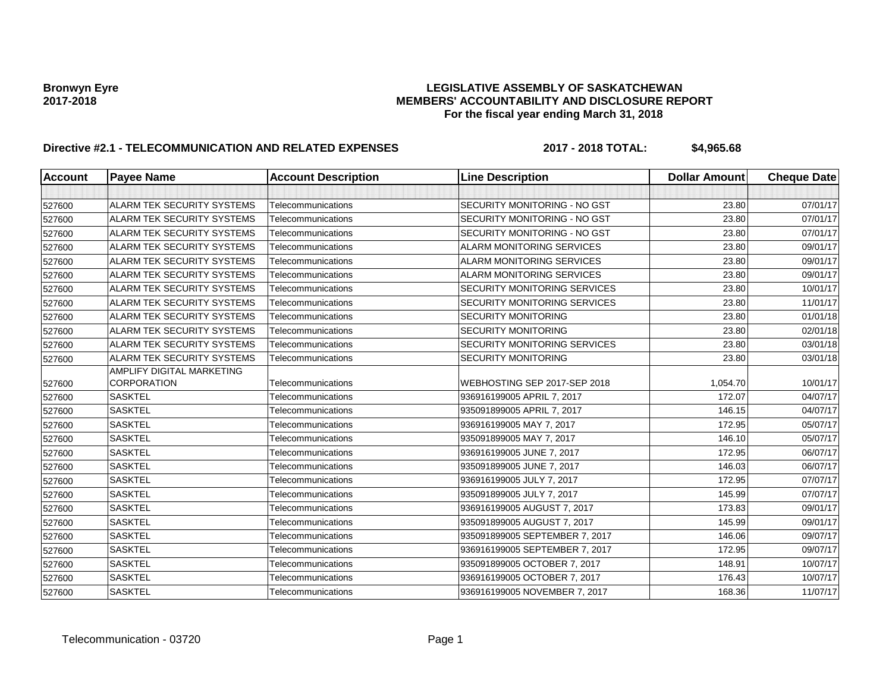# **Bronwyn Eyre LEGISLATIVE ASSEMBLY OF SASKATCHEWAN 2017-2018 MEMBERS' ACCOUNTABILITY AND DISCLOSURE REPORT For the fiscal year ending March 31, 2018**

# **Directive #2.1 - TELECOMMUNICATION AND RELATED EXPENSES 2017 - 2018 TOTAL: \$4,965.68**

| Account | <b>Payee Name</b>                 | <b>Account Description</b> | <b>Line Description</b>          | <b>Dollar Amount</b> | <b>Cheque Date</b> |
|---------|-----------------------------------|----------------------------|----------------------------------|----------------------|--------------------|
|         |                                   |                            |                                  |                      |                    |
| 527600  | <b>ALARM TEK SECURITY SYSTEMS</b> | Telecommunications         | SECURITY MONITORING - NO GST     | 23.80                | 07/01/17           |
| 527600  | <b>ALARM TEK SECURITY SYSTEMS</b> | Telecommunications         | SECURITY MONITORING - NO GST     | 23.80                | 07/01/17           |
| 527600  | <b>ALARM TEK SECURITY SYSTEMS</b> | Telecommunications         | SECURITY MONITORING - NO GST     | 23.80                | 07/01/17           |
| 527600  | ALARM TEK SECURITY SYSTEMS        | Telecommunications         | <b>ALARM MONITORING SERVICES</b> | 23.80                | 09/01/17           |
| 527600  | <b>ALARM TEK SECURITY SYSTEMS</b> | Telecommunications         | <b>ALARM MONITORING SERVICES</b> | 23.80                | 09/01/17           |
| 527600  | <b>ALARM TEK SECURITY SYSTEMS</b> | Telecommunications         | <b>ALARM MONITORING SERVICES</b> | 23.80                | 09/01/17           |
| 527600  | <b>ALARM TEK SECURITY SYSTEMS</b> | Telecommunications         | SECURITY MONITORING SERVICES     | 23.80                | 10/01/17           |
| 527600  | <b>ALARM TEK SECURITY SYSTEMS</b> | Telecommunications         | SECURITY MONITORING SERVICES     | 23.80                | 11/01/17           |
| 527600  | <b>ALARM TEK SECURITY SYSTEMS</b> | Telecommunications         | <b>SECURITY MONITORING</b>       | 23.80                | 01/01/18           |
| 527600  | <b>ALARM TEK SECURITY SYSTEMS</b> | Telecommunications         | <b>SECURITY MONITORING</b>       | 23.80                | 02/01/18           |
| 527600  | <b>ALARM TEK SECURITY SYSTEMS</b> | Telecommunications         | SECURITY MONITORING SERVICES     | 23.80                | 03/01/18           |
| 527600  | ALARM TEK SECURITY SYSTEMS        | Telecommunications         | <b>SECURITY MONITORING</b>       | 23.80                | 03/01/18           |
|         | AMPLIFY DIGITAL MARKETING         |                            |                                  |                      |                    |
| 527600  | <b>CORPORATION</b>                | Telecommunications         | WEBHOSTING SEP 2017-SEP 2018     | 1,054.70             | 10/01/17           |
| 527600  | <b>SASKTEL</b>                    | Telecommunications         | 936916199005 APRIL 7, 2017       | 172.07               | 04/07/17           |
| 527600  | <b>SASKTEL</b>                    | Telecommunications         | 935091899005 APRIL 7, 2017       | 146.15               | 04/07/17           |
| 527600  | <b>SASKTEL</b>                    | Telecommunications         | 936916199005 MAY 7, 2017         | 172.95               | 05/07/17           |
| 527600  | <b>SASKTEL</b>                    | Telecommunications         | 935091899005 MAY 7, 2017         | 146.10               | 05/07/17           |
| 527600  | <b>SASKTEL</b>                    | Telecommunications         | 936916199005 JUNE 7, 2017        | 172.95               | 06/07/17           |
| 527600  | <b>SASKTEL</b>                    | Telecommunications         | 935091899005 JUNE 7, 2017        | 146.03               | 06/07/17           |
| 527600  | <b>SASKTEL</b>                    | Telecommunications         | 936916199005 JULY 7, 2017        | 172.95               | 07/07/17           |
| 527600  | <b>SASKTEL</b>                    | Telecommunications         | 935091899005 JULY 7, 2017        | 145.99               | 07/07/17           |
| 527600  | <b>SASKTEL</b>                    | Telecommunications         | 936916199005 AUGUST 7, 2017      | 173.83               | 09/01/17           |
| 527600  | <b>SASKTEL</b>                    | Telecommunications         | 935091899005 AUGUST 7, 2017      | 145.99               | 09/01/17           |
| 527600  | <b>SASKTEL</b>                    | Telecommunications         | 935091899005 SEPTEMBER 7, 2017   | 146.06               | 09/07/17           |
| 527600  | <b>SASKTEL</b>                    | Telecommunications         | 936916199005 SEPTEMBER 7, 2017   | 172.95               | 09/07/17           |
| 527600  | <b>SASKTEL</b>                    | Telecommunications         | 935091899005 OCTOBER 7, 2017     | 148.91               | 10/07/17           |
| 527600  | <b>SASKTEL</b>                    | Telecommunications         | 936916199005 OCTOBER 7, 2017     | 176.43               | 10/07/17           |
| 527600  | <b>SASKTEL</b>                    | Telecommunications         | 936916199005 NOVEMBER 7, 2017    | 168.36               | 11/07/17           |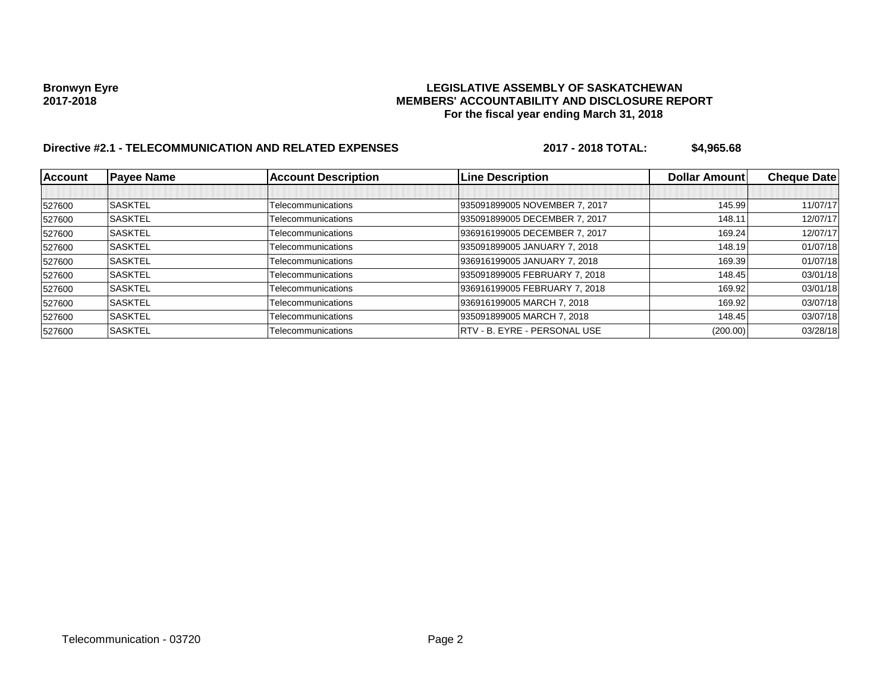# **Bronwyn Eyre LEGISLATIVE ASSEMBLY OF SASKATCHEWAN 2017-2018 MEMBERS' ACCOUNTABILITY AND DISCLOSURE REPORT For the fiscal year ending March 31, 2018**

# **Directive #2.1 - TELECOMMUNICATION AND RELATED EXPENSES 2017 - 2018 TOTAL: \$4,965.68**

| <b>Account</b> | <b>Payee Name</b> | <b>Account Description</b> | <b>Line Description</b>       | <b>Dollar Amountl</b> | <b>Cheque Date</b> |
|----------------|-------------------|----------------------------|-------------------------------|-----------------------|--------------------|
|                |                   |                            |                               |                       |                    |
| 527600         | <b>SASKTEL</b>    | Telecommunications         | 935091899005 NOVEMBER 7, 2017 | 145.99                | 11/07/17           |
| 527600         | <b>SASKTEL</b>    | Telecommunications         | 935091899005 DECEMBER 7, 2017 | 148.11                | 12/07/17           |
| 527600         | <b>SASKTEL</b>    | Telecommunications         | 936916199005 DECEMBER 7, 2017 | 169.24                | 12/07/17           |
| 527600         | <b>SASKTEL</b>    | Telecommunications         | 935091899005 JANUARY 7, 2018  | 148.19                | 01/07/18           |
| 527600         | <b>SASKTEL</b>    | Telecommunications         | 936916199005 JANUARY 7, 2018  | 169.39                | 01/07/18           |
| 527600         | <b>SASKTEL</b>    | Telecommunications         | 935091899005 FEBRUARY 7, 2018 | 148.45                | 03/01/18           |
| 527600         | <b>SASKTEL</b>    | Telecommunications         | 936916199005 FEBRUARY 7, 2018 | 169.92                | 03/01/18           |
| 527600         | <b>SASKTEL</b>    | Telecommunications         | 936916199005 MARCH 7, 2018    | 169.92                | 03/07/18           |
| 527600         | <b>SASKTEL</b>    | Telecommunications         | 935091899005 MARCH 7, 2018    | 148.45                | 03/07/18           |
| 527600         | <b>SASKTEL</b>    | Telecommunications         | RTV - B. EYRE - PERSONAL USE  | (200.00)              | 03/28/18           |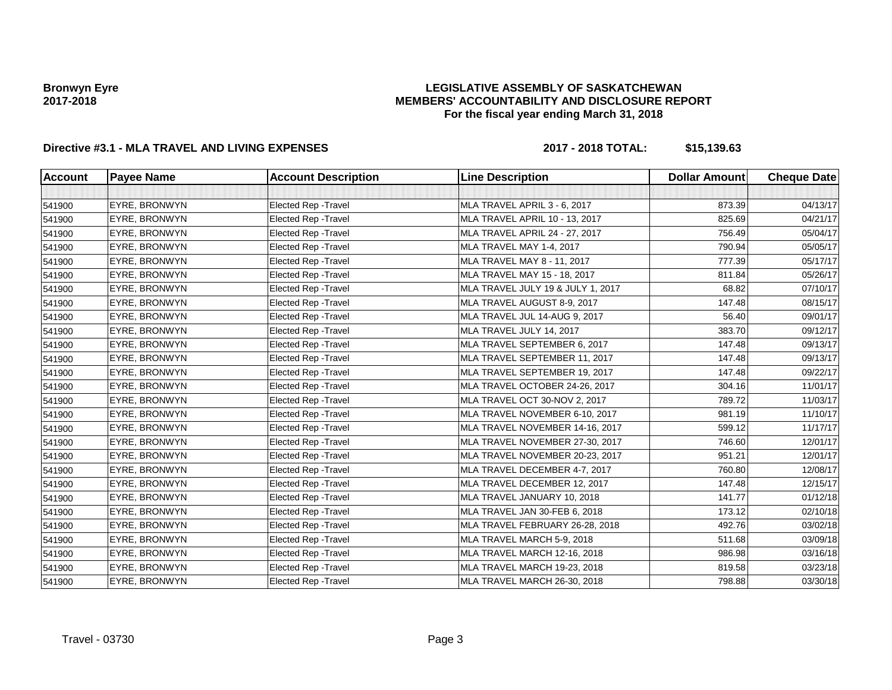### **LEGISLATIVE ASSEMBLY OF SASKATCHEWAN MEMBERS' ACCOUNTABILITY AND DISCLOSURE REPORT For the fiscal year ending March 31, 2018**

# **Directive #3.1 - MLA TRAVEL AND LIVING EXPENSES 2017 - 2018 TOTAL: \$15,139.63**

| <b>Account</b> | <b>Payee Name</b>    | <b>Account Description</b>  | <b>Line Description</b>           | <b>Dollar Amount</b> | <b>Cheque Date</b> |
|----------------|----------------------|-----------------------------|-----------------------------------|----------------------|--------------------|
|                |                      |                             |                                   |                      |                    |
| 541900         | EYRE, BRONWYN        | <b>Elected Rep - Travel</b> | MLA TRAVEL APRIL 3 - 6, 2017      | 873.39               | 04/13/17           |
| 541900         | EYRE, BRONWYN        | <b>Elected Rep - Travel</b> | MLA TRAVEL APRIL 10 - 13, 2017    | 825.69               | 04/21/17           |
| 541900         | EYRE, BRONWYN        | Elected Rep - Travel        | MLA TRAVEL APRIL 24 - 27, 2017    | 756.49               | 05/04/17           |
| 541900         | EYRE, BRONWYN        | <b>Elected Rep - Travel</b> | MLA TRAVEL MAY 1-4, 2017          | 790.94               | 05/05/17           |
| 541900         | EYRE, BRONWYN        | Elected Rep - Travel        | MLA TRAVEL MAY 8 - 11, 2017       | 777.39               | 05/17/17           |
| 541900         | EYRE, BRONWYN        | Elected Rep - Travel        | MLA TRAVEL MAY 15 - 18, 2017      | 811.84               | 05/26/17           |
| 541900         | EYRE, BRONWYN        | <b>Elected Rep - Travel</b> | MLA TRAVEL JULY 19 & JULY 1, 2017 | 68.82                | 07/10/17           |
| 541900         | EYRE, BRONWYN        | Elected Rep - Travel        | MLA TRAVEL AUGUST 8-9, 2017       | 147.48               | 08/15/17           |
| 541900         | EYRE, BRONWYN        | <b>Elected Rep - Travel</b> | MLA TRAVEL JUL 14-AUG 9, 2017     | 56.40                | 09/01/17           |
| 541900         | EYRE, BRONWYN        | Elected Rep - Travel        | MLA TRAVEL JULY 14, 2017          | 383.70               | 09/12/17           |
| 541900         | EYRE, BRONWYN        | <b>Elected Rep - Travel</b> | MLA TRAVEL SEPTEMBER 6, 2017      | 147.48               | 09/13/17           |
| 541900         | EYRE, BRONWYN        | Elected Rep - Travel        | MLA TRAVEL SEPTEMBER 11, 2017     | 147.48               | 09/13/17           |
| 541900         | EYRE, BRONWYN        | <b>Elected Rep - Travel</b> | MLA TRAVEL SEPTEMBER 19, 2017     | 147.48               | 09/22/17           |
| 541900         | EYRE, BRONWYN        | Elected Rep - Travel        | MLA TRAVEL OCTOBER 24-26, 2017    | 304.16               | 11/01/17           |
| 541900         | <b>EYRE, BRONWYN</b> | <b>Elected Rep - Travel</b> | MLA TRAVEL OCT 30-NOV 2, 2017     | 789.72               | 11/03/17           |
| 541900         | EYRE, BRONWYN        | Elected Rep - Travel        | MLA TRAVEL NOVEMBER 6-10, 2017    | 981.19               | 11/10/17           |
| 541900         | EYRE, BRONWYN        | Elected Rep - Travel        | MLA TRAVEL NOVEMBER 14-16, 2017   | 599.12               | 11/17/17           |
| 541900         | EYRE, BRONWYN        | <b>Elected Rep - Travel</b> | MLA TRAVEL NOVEMBER 27-30, 2017   | 746.60               | 12/01/17           |
| 541900         | EYRE, BRONWYN        | <b>Elected Rep - Travel</b> | MLA TRAVEL NOVEMBER 20-23, 2017   | 951.21               | 12/01/17           |
| 541900         | EYRE, BRONWYN        | Elected Rep - Travel        | MLA TRAVEL DECEMBER 4-7, 2017     | 760.80               | 12/08/17           |
| 541900         | EYRE, BRONWYN        | Elected Rep - Travel        | MLA TRAVEL DECEMBER 12, 2017      | 147.48               | 12/15/17           |
| 541900         | EYRE, BRONWYN        | <b>Elected Rep - Travel</b> | MLA TRAVEL JANUARY 10, 2018       | 141.77               | 01/12/18           |
| 541900         | EYRE, BRONWYN        | Elected Rep - Travel        | MLA TRAVEL JAN 30-FEB 6, 2018     | 173.12               | 02/10/18           |
| 541900         | EYRE, BRONWYN        | <b>Elected Rep - Travel</b> | MLA TRAVEL FEBRUARY 26-28, 2018   | 492.76               | 03/02/18           |
| 541900         | EYRE, BRONWYN        | Elected Rep - Travel        | MLA TRAVEL MARCH 5-9, 2018        | 511.68               | 03/09/18           |
| 541900         | EYRE, BRONWYN        | <b>Elected Rep - Travel</b> | MLA TRAVEL MARCH 12-16, 2018      | 986.98               | 03/16/18           |
| 541900         | EYRE, BRONWYN        | <b>Elected Rep - Travel</b> | MLA TRAVEL MARCH 19-23, 2018      | 819.58               | 03/23/18           |
| 541900         | EYRE, BRONWYN        | <b>Elected Rep - Travel</b> | MLA TRAVEL MARCH 26-30, 2018      | 798.88               | 03/30/18           |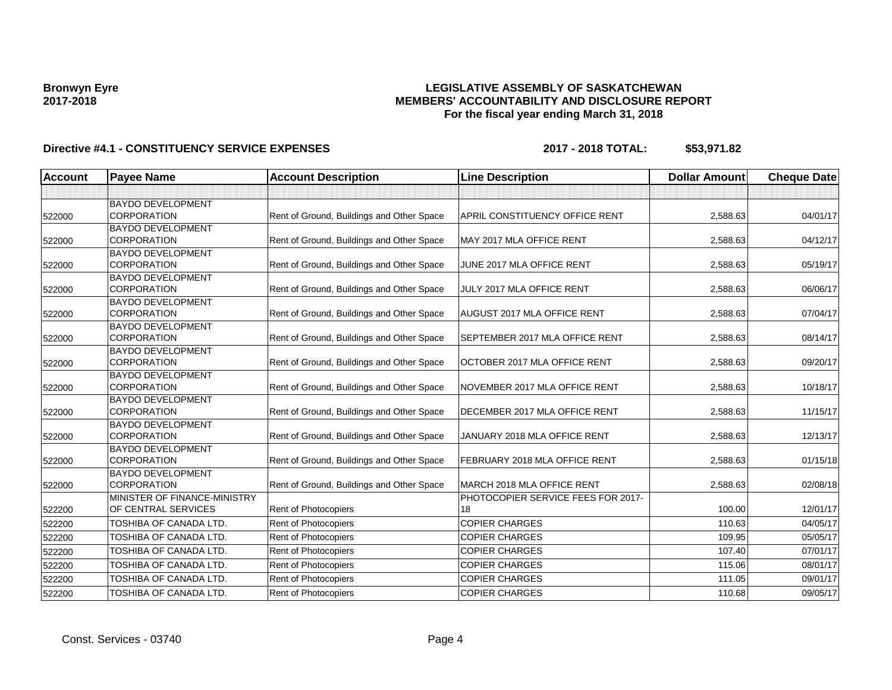### **LEGISLATIVE ASSEMBLY OF SASKATCHEWAN MEMBERS' ACCOUNTABILITY AND DISCLOSURE REPORT For the fiscal year ending March 31, 2018**

| <b>Account</b> | <b>Payee Name</b>                              | <b>Account Description</b>                | <b>Line Description</b>            | <b>Dollar Amount</b> | <b>Cheque Date</b> |
|----------------|------------------------------------------------|-------------------------------------------|------------------------------------|----------------------|--------------------|
|                |                                                |                                           |                                    |                      |                    |
|                | <b>BAYDO DEVELOPMENT</b>                       |                                           |                                    |                      |                    |
| 522000         | <b>CORPORATION</b>                             | Rent of Ground, Buildings and Other Space | APRIL CONSTITUENCY OFFICE RENT     | 2,588.63             | 04/01/17           |
|                | <b>BAYDO DEVELOPMENT</b>                       |                                           |                                    |                      |                    |
| 522000         | CORPORATION                                    | Rent of Ground, Buildings and Other Space | MAY 2017 MLA OFFICE RENT           | 2,588.63             | 04/12/17           |
|                | <b>BAYDO DEVELOPMENT</b>                       |                                           |                                    |                      |                    |
| 522000         | <b>CORPORATION</b>                             | Rent of Ground, Buildings and Other Space | JUNE 2017 MLA OFFICE RENT          | 2,588.63             | 05/19/17           |
|                | <b>BAYDO DEVELOPMENT</b>                       |                                           |                                    |                      |                    |
| 522000         | <b>CORPORATION</b>                             | Rent of Ground, Buildings and Other Space | JULY 2017 MLA OFFICE RENT          | 2,588.63             | 06/06/17           |
|                | <b>BAYDO DEVELOPMENT</b><br><b>CORPORATION</b> | Rent of Ground, Buildings and Other Space | AUGUST 2017 MLA OFFICE RENT        | 2,588.63             | 07/04/17           |
| 522000         | <b>BAYDO DEVELOPMENT</b>                       |                                           |                                    |                      |                    |
| 522000         | <b>CORPORATION</b>                             | Rent of Ground, Buildings and Other Space | SEPTEMBER 2017 MLA OFFICE RENT     | 2,588.63             | 08/14/17           |
|                | <b>BAYDO DEVELOPMENT</b>                       |                                           |                                    |                      |                    |
| 522000         | <b>CORPORATION</b>                             | Rent of Ground, Buildings and Other Space | OCTOBER 2017 MLA OFFICE RENT       | 2,588.63             | 09/20/17           |
|                | <b>BAYDO DEVELOPMENT</b>                       |                                           |                                    |                      |                    |
| 522000         | <b>CORPORATION</b>                             | Rent of Ground, Buildings and Other Space | NOVEMBER 2017 MLA OFFICE RENT      | 2,588.63             | 10/18/17           |
|                | <b>BAYDO DEVELOPMENT</b>                       |                                           |                                    |                      |                    |
| 522000         | <b>CORPORATION</b>                             | Rent of Ground, Buildings and Other Space | DECEMBER 2017 MLA OFFICE RENT      | 2,588.63             | 11/15/17           |
|                | <b>BAYDO DEVELOPMENT</b>                       |                                           |                                    |                      |                    |
| 522000         | <b>CORPORATION</b>                             | Rent of Ground, Buildings and Other Space | JANUARY 2018 MLA OFFICE RENT       | 2,588.63             | 12/13/17           |
|                | <b>BAYDO DEVELOPMENT</b>                       |                                           |                                    |                      |                    |
| 522000         | <b>CORPORATION</b>                             | Rent of Ground, Buildings and Other Space | FEBRUARY 2018 MLA OFFICE RENT      | 2,588.63             | 01/15/18           |
|                | <b>BAYDO DEVELOPMENT</b>                       |                                           |                                    |                      |                    |
| 522000         | <b>CORPORATION</b>                             | Rent of Ground, Buildings and Other Space | MARCH 2018 MLA OFFICE RENT         | 2,588.63             | 02/08/18           |
|                | MINISTER OF FINANCE-MINISTRY                   |                                           | PHOTOCOPIER SERVICE FEES FOR 2017- |                      |                    |
| 522200         | OF CENTRAL SERVICES                            | Rent of Photocopiers                      | 18                                 | 100.00               | 12/01/17           |
| 522200         | TOSHIBA OF CANADA LTD.                         | Rent of Photocopiers                      | <b>COPIER CHARGES</b>              | 110.63               | 04/05/17           |
| 522200         | TOSHIBA OF CANADA LTD.                         | Rent of Photocopiers                      | <b>COPIER CHARGES</b>              | 109.95               | 05/05/17           |
| 522200         | TOSHIBA OF CANADA LTD.                         | Rent of Photocopiers                      | <b>COPIER CHARGES</b>              | 107.40               | 07/01/17           |
| 522200         | <b>TOSHIBA OF CANADA LTD.</b>                  | Rent of Photocopiers                      | <b>COPIER CHARGES</b>              | 115.06               | 08/01/17           |
| 522200         | TOSHIBA OF CANADA LTD.                         | <b>Rent of Photocopiers</b>               | <b>COPIER CHARGES</b>              | 111.05               | 09/01/17           |
| 522200         | TOSHIBA OF CANADA LTD.                         | Rent of Photocopiers                      | <b>COPIER CHARGES</b>              | 110.68               | 09/05/17           |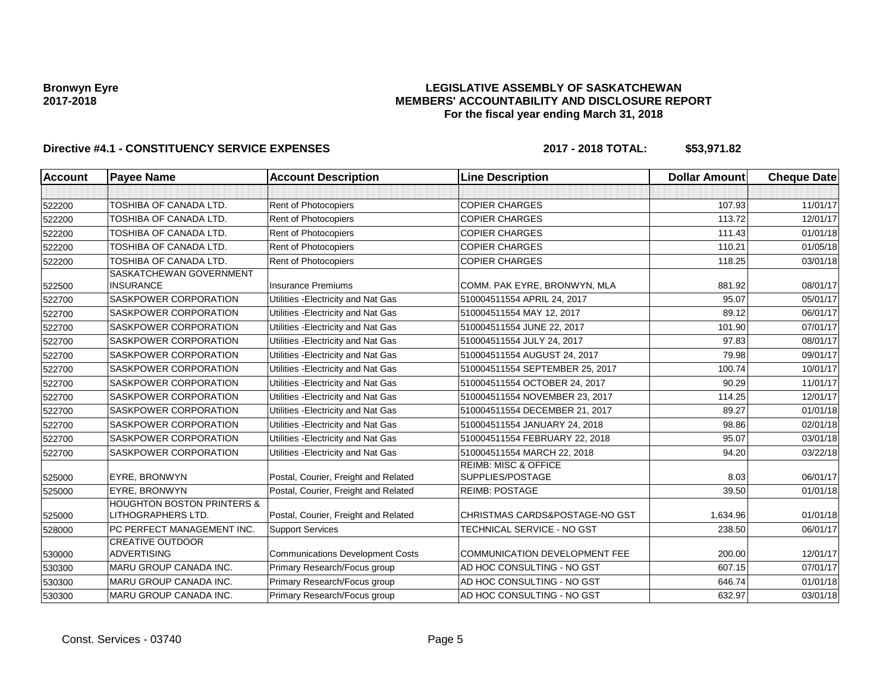### **LEGISLATIVE ASSEMBLY OF SASKATCHEWAN MEMBERS' ACCOUNTABILITY AND DISCLOSURE REPORT For the fiscal year ending March 31, 2018**

| <b>Account</b> | <b>Payee Name</b>                                           | <b>Account Description</b>              | <b>Line Description</b>                             | <b>Dollar Amount</b> | <b>Cheque Date</b> |
|----------------|-------------------------------------------------------------|-----------------------------------------|-----------------------------------------------------|----------------------|--------------------|
|                |                                                             |                                         |                                                     |                      |                    |
| 522200         | <b>TOSHIBA OF CANADA LTD.</b>                               | Rent of Photocopiers                    | <b>COPIER CHARGES</b>                               | 107.93               | 11/01/17           |
| 522200         | <b>TOSHIBA OF CANADA LTD.</b>                               | Rent of Photocopiers                    | <b>COPIER CHARGES</b>                               | 113.72               | 12/01/17           |
| 522200         | <b>TOSHIBA OF CANADA LTD.</b>                               | Rent of Photocopiers                    | <b>COPIER CHARGES</b>                               | 111.43               | 01/01/18           |
| 522200         | <b>TOSHIBA OF CANADA LTD.</b>                               | Rent of Photocopiers                    | <b>COPIER CHARGES</b>                               | 110.21               | 01/05/18           |
| 522200         | TOSHIBA OF CANADA LTD.                                      | Rent of Photocopiers                    | <b>COPIER CHARGES</b>                               | 118.25               | 03/01/18           |
| 522500         | SASKATCHEWAN GOVERNMENT<br><b>INSURANCE</b>                 | <b>Insurance Premiums</b>               | COMM. PAK EYRE, BRONWYN, MLA                        | 881.92               | 08/01/17           |
| 522700         | SASKPOWER CORPORATION                                       | Utilities - Electricity and Nat Gas     | 510004511554 APRIL 24, 2017                         | 95.07                | 05/01/17           |
| 522700         | SASKPOWER CORPORATION                                       | Utilities - Electricity and Nat Gas     | 510004511554 MAY 12, 2017                           | 89.12                | 06/01/17           |
| 522700         | SASKPOWER CORPORATION                                       | Utilities - Electricity and Nat Gas     | 510004511554 JUNE 22, 2017                          | 101.90               | 07/01/17           |
| 522700         | SASKPOWER CORPORATION                                       | Utilities - Electricity and Nat Gas     | 510004511554 JULY 24, 2017                          | 97.83                | 08/01/17           |
| 522700         | SASKPOWER CORPORATION                                       | Utilities - Electricity and Nat Gas     | 510004511554 AUGUST 24, 2017                        | 79.98                | 09/01/17           |
| 522700         | SASKPOWER CORPORATION                                       | Utilities - Electricity and Nat Gas     | 510004511554 SEPTEMBER 25, 2017                     | 100.74               | 10/01/17           |
| 522700         | SASKPOWER CORPORATION                                       | Utilities - Electricity and Nat Gas     | 510004511554 OCTOBER 24, 2017                       | 90.29                | 11/01/17           |
| 522700         | SASKPOWER CORPORATION                                       | Utilities - Electricity and Nat Gas     | 510004511554 NOVEMBER 23, 2017                      | 114.25               | 12/01/17           |
| 522700         | SASKPOWER CORPORATION                                       | Utilities - Electricity and Nat Gas     | 510004511554 DECEMBER 21, 2017                      | 89.27                | 01/01/18           |
| 522700         | SASKPOWER CORPORATION                                       | Utilities - Electricity and Nat Gas     | 510004511554 JANUARY 24, 2018                       | 98.86                | 02/01/18           |
| 522700         | SASKPOWER CORPORATION                                       | Utilities - Electricity and Nat Gas     | 510004511554 FEBRUARY 22, 2018                      | 95.07                | 03/01/18           |
| 522700         | SASKPOWER CORPORATION                                       | Utilities - Electricity and Nat Gas     | 510004511554 MARCH 22, 2018                         | 94.20                | 03/22/18           |
| 525000         | EYRE, BRONWYN                                               | Postal, Courier, Freight and Related    | <b>REIMB: MISC &amp; OFFICE</b><br>SUPPLIES/POSTAGE | 8.03                 | 06/01/17           |
| 525000         | EYRE, BRONWYN                                               | Postal, Courier, Freight and Related    | <b>REIMB: POSTAGE</b>                               | 39.50                | 01/01/18           |
| 525000         | <b>HOUGHTON BOSTON PRINTERS &amp;</b><br>LITHOGRAPHERS LTD. | Postal, Courier, Freight and Related    | CHRISTMAS CARDS&POSTAGE-NO GST                      | 1.634.96             | 01/01/18           |
| 528000         | PC PERFECT MANAGEMENT INC.                                  | <b>Support Services</b>                 | TECHNICAL SERVICE - NO GST                          | 238.50               | 06/01/17           |
| 530000         | <b>CREATIVE OUTDOOR</b><br><b>ADVERTISING</b>               | <b>Communications Development Costs</b> | <b>COMMUNICATION DEVELOPMENT FEE</b>                | 200.00               | 12/01/17           |
| 530300         | MARU GROUP CANADA INC.                                      | Primary Research/Focus group            | AD HOC CONSULTING - NO GST                          | 607.15               | 07/01/17           |
| 530300         | MARU GROUP CANADA INC.                                      | Primary Research/Focus group            | AD HOC CONSULTING - NO GST                          | 646.74               | 01/01/18           |
| 530300         | MARU GROUP CANADA INC.                                      | Primary Research/Focus group            | AD HOC CONSULTING - NO GST                          | 632.97               | 03/01/18           |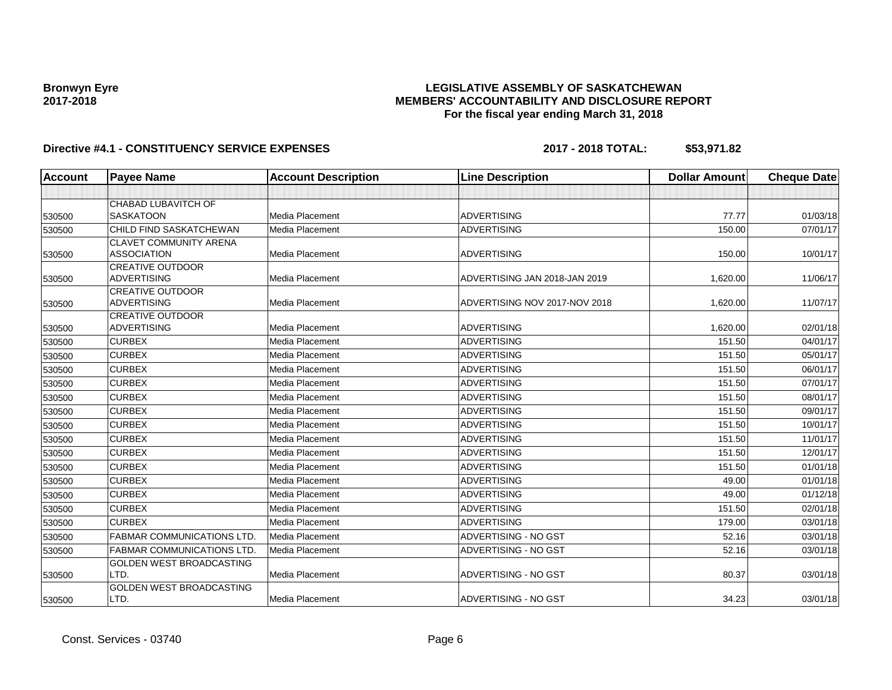### **LEGISLATIVE ASSEMBLY OF SASKATCHEWAN MEMBERS' ACCOUNTABILITY AND DISCLOSURE REPORT For the fiscal year ending March 31, 2018**

| <b>Account</b> | <b>Payee Name</b>                             | <b>Account Description</b> | <b>Line Description</b>       | <b>Dollar Amount</b> | <b>Cheque Date</b> |
|----------------|-----------------------------------------------|----------------------------|-------------------------------|----------------------|--------------------|
|                |                                               |                            |                               |                      |                    |
|                | <b>CHABAD LUBAVITCH OF</b>                    |                            |                               |                      |                    |
| 530500         | <b>SASKATOON</b>                              | Media Placement            | <b>ADVERTISING</b>            | 77.77                | 01/03/18           |
| 530500         | CHILD FIND SASKATCHEWAN                       | Media Placement            | <b>ADVERTISING</b>            | 150.00               | 07/01/17           |
|                | <b>CLAVET COMMUNITY ARENA</b>                 |                            |                               |                      |                    |
| 530500         | <b>ASSOCIATION</b>                            | Media Placement            | <b>ADVERTISING</b>            | 150.00               | 10/01/17           |
|                | <b>CREATIVE OUTDOOR</b>                       |                            |                               |                      |                    |
| 530500         | ADVERTISING                                   | <b>Media Placement</b>     | ADVERTISING JAN 2018-JAN 2019 | 1,620.00             | 11/06/17           |
|                | <b>CREATIVE OUTDOOR</b><br><b>ADVERTISING</b> | Media Placement            | ADVERTISING NOV 2017-NOV 2018 | 1,620.00             | 11/07/17           |
| 530500         | <b>CREATIVE OUTDOOR</b>                       |                            |                               |                      |                    |
| 530500         | <b>ADVERTISING</b>                            | <b>Media Placement</b>     | <b>ADVERTISING</b>            | 1,620.00             | 02/01/18           |
| 530500         | <b>CURBEX</b>                                 | <b>Media Placement</b>     | <b>ADVERTISING</b>            | 151.50               | 04/01/17           |
| 530500         | <b>CURBEX</b>                                 | <b>Media Placement</b>     | <b>ADVERTISING</b>            | 151.50               | 05/01/17           |
| 530500         | <b>CURBEX</b>                                 | <b>Media Placement</b>     | <b>ADVERTISING</b>            | 151.50               | 06/01/17           |
| 530500         | <b>CURBEX</b>                                 | <b>Media Placement</b>     | <b>ADVERTISING</b>            | 151.50               | 07/01/17           |
| 530500         | <b>CURBEX</b>                                 | <b>Media Placement</b>     | <b>ADVERTISING</b>            | 151.50               | 08/01/17           |
| 530500         | <b>CURBEX</b>                                 | Media Placement            | <b>ADVERTISING</b>            | 151.50               | 09/01/17           |
| 530500         | <b>CURBEX</b>                                 | <b>Media Placement</b>     | <b>ADVERTISING</b>            | 151.50               | 10/01/17           |
| 530500         | <b>CURBEX</b>                                 | <b>Media Placement</b>     | <b>ADVERTISING</b>            | 151.50               | 11/01/17           |
| 530500         | <b>CURBEX</b>                                 | <b>Media Placement</b>     | <b>ADVERTISING</b>            | 151.50               | 12/01/17           |
| 530500         | <b>CURBEX</b>                                 | Media Placement            | <b>ADVERTISING</b>            | 151.50               | 01/01/18           |
| 530500         | <b>CURBEX</b>                                 | Media Placement            | <b>ADVERTISING</b>            | 49.00                | 01/01/18           |
| 530500         | <b>CURBEX</b>                                 | <b>Media Placement</b>     | <b>ADVERTISING</b>            | 49.00                | 01/12/18           |
| 530500         | <b>CURBEX</b>                                 | Media Placement            | <b>ADVERTISING</b>            | 151.50               | 02/01/18           |
| 530500         | <b>CURBEX</b>                                 | Media Placement            | <b>ADVERTISING</b>            | 179.00               | 03/01/18           |
| 530500         | <b>FABMAR COMMUNICATIONS LTD</b>              | <b>Media Placement</b>     | ADVERTISING - NO GST          | 52.16                | 03/01/18           |
| 530500         | <b>FABMAR COMMUNICATIONS LTD</b>              | Media Placement            | ADVERTISING - NO GST          | 52.16                | 03/01/18           |
|                | <b>GOLDEN WEST BROADCASTING</b>               |                            |                               |                      |                    |
| 530500         | LTD.                                          | Media Placement            | ADVERTISING - NO GST          | 80.37                | 03/01/18           |
| 530500         | <b>GOLDEN WEST BROADCASTING</b><br>LTD.       | Media Placement            | <b>ADVERTISING - NO GST</b>   | 34.23                | 03/01/18           |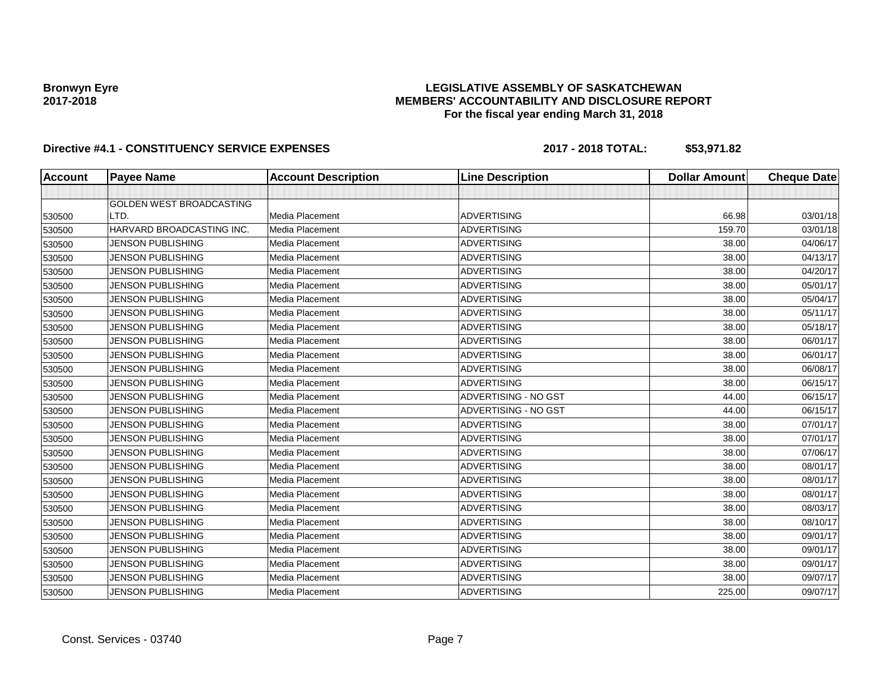### **LEGISLATIVE ASSEMBLY OF SASKATCHEWAN MEMBERS' ACCOUNTABILITY AND DISCLOSURE REPORT For the fiscal year ending March 31, 2018**

| <b>Account</b> | <b>Payee Name</b>               | <b>Account Description</b> | <b>Line Description</b> | <b>Dollar Amount</b> | <b>Cheque Date</b> |
|----------------|---------------------------------|----------------------------|-------------------------|----------------------|--------------------|
|                |                                 |                            |                         |                      |                    |
|                | <b>GOLDEN WEST BROADCASTING</b> |                            |                         |                      |                    |
| 530500         | LTD.                            | Media Placement            | <b>ADVERTISING</b>      | 66.98                | 03/01/18           |
| 530500         | HARVARD BROADCASTING INC.       | Media Placement            | <b>ADVERTISING</b>      | 159.70               | 03/01/18           |
| 530500         | <b>JENSON PUBLISHING</b>        | <b>Media Placement</b>     | <b>ADVERTISING</b>      | 38.00                | 04/06/17           |
| 530500         | <b>JENSON PUBLISHING</b>        | Media Placement            | <b>ADVERTISING</b>      | 38.00                | 04/13/17           |
| 530500         | <b>JENSON PUBLISHING</b>        | Media Placement            | <b>ADVERTISING</b>      | 38.00                | 04/20/17           |
| 530500         | <b>JENSON PUBLISHING</b>        | Media Placement            | <b>ADVERTISING</b>      | 38.00                | 05/01/17           |
| 530500         | <b>JENSON PUBLISHING</b>        | Media Placement            | <b>ADVERTISING</b>      | 38.00                | 05/04/17           |
| 530500         | <b>JENSON PUBLISHING</b>        | Media Placement            | <b>ADVERTISING</b>      | 38.00                | 05/11/17           |
| 530500         | <b>JENSON PUBLISHING</b>        | Media Placement            | <b>ADVERTISING</b>      | 38.00                | 05/18/17           |
| 530500         | <b>JENSON PUBLISHING</b>        | Media Placement            | <b>ADVERTISING</b>      | 38.00                | 06/01/17           |
| 530500         | <b>JENSON PUBLISHING</b>        | Media Placement            | <b>ADVERTISING</b>      | 38.00                | 06/01/17           |
| 530500         | <b>JENSON PUBLISHING</b>        | Media Placement            | <b>ADVERTISING</b>      | 38.00                | 06/08/17           |
| 530500         | <b>JENSON PUBLISHING</b>        | Media Placement            | <b>ADVERTISING</b>      | 38.00                | 06/15/17           |
| 530500         | <b>JENSON PUBLISHING</b>        | Media Placement            | ADVERTISING - NO GST    | 44.00                | 06/15/17           |
| 530500         | <b>JENSON PUBLISHING</b>        | Media Placement            | ADVERTISING - NO GST    | 44.00                | 06/15/17           |
| 530500         | <b>JENSON PUBLISHING</b>        | Media Placement            | <b>ADVERTISING</b>      | 38.00                | 07/01/17           |
| 530500         | <b>JENSON PUBLISHING</b>        | Media Placement            | <b>ADVERTISING</b>      | 38.00                | 07/01/17           |
| 530500         | <b>JENSON PUBLISHING</b>        | Media Placement            | <b>ADVERTISING</b>      | 38.00                | 07/06/17           |
| 530500         | <b>JENSON PUBLISHING</b>        | Media Placement            | <b>ADVERTISING</b>      | 38.00                | 08/01/17           |
| 530500         | <b>JENSON PUBLISHING</b>        | Media Placement            | <b>ADVERTISING</b>      | 38.00                | 08/01/17           |
| 530500         | <b>JENSON PUBLISHING</b>        | Media Placement            | <b>ADVERTISING</b>      | 38.00                | 08/01/17           |
| 530500         | <b>JENSON PUBLISHING</b>        | Media Placement            | <b>ADVERTISING</b>      | 38.00                | 08/03/17           |
| 530500         | <b>JENSON PUBLISHING</b>        | Media Placement            | <b>ADVERTISING</b>      | 38.00                | 08/10/17           |
| 530500         | <b>JENSON PUBLISHING</b>        | Media Placement            | <b>ADVERTISING</b>      | 38.00                | 09/01/17           |
| 530500         | <b>JENSON PUBLISHING</b>        | Media Placement            | <b>ADVERTISING</b>      | 38.00                | 09/01/17           |
| 530500         | <b>JENSON PUBLISHING</b>        | Media Placement            | <b>ADVERTISING</b>      | 38.00                | 09/01/17           |
| 530500         | <b>JENSON PUBLISHING</b>        | Media Placement            | <b>ADVERTISING</b>      | 38.00                | 09/07/17           |
| 530500         | <b>JENSON PUBLISHING</b>        | Media Placement            | <b>ADVERTISING</b>      | 225.00               | 09/07/17           |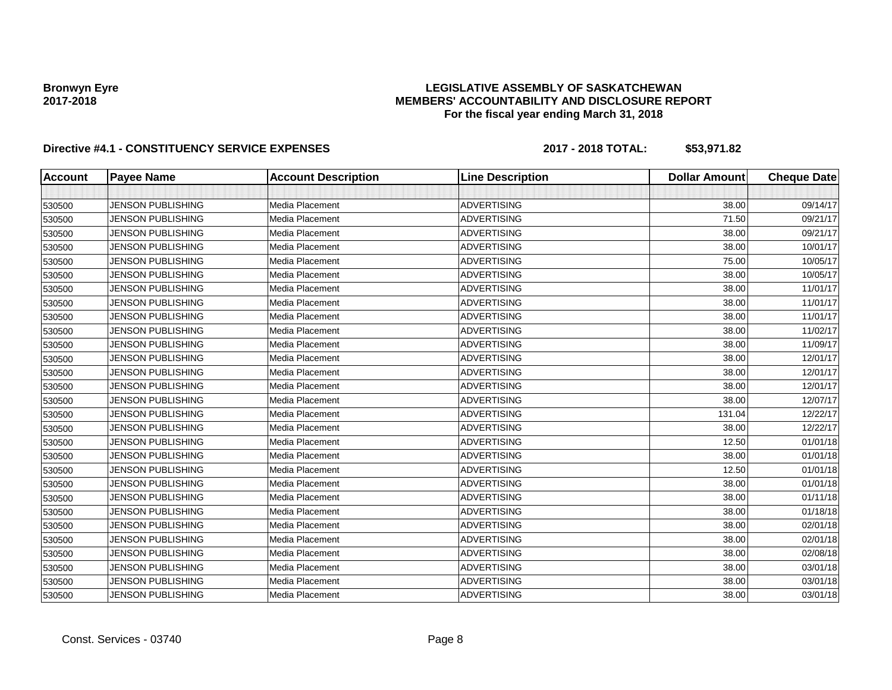### **LEGISLATIVE ASSEMBLY OF SASKATCHEWAN MEMBERS' ACCOUNTABILITY AND DISCLOSURE REPORT For the fiscal year ending March 31, 2018**

| <b>Account</b> | <b>Payee Name</b>        | <b>Account Description</b> | <b>Line Description</b> | <b>Dollar Amount</b> | <b>Cheque Date</b> |
|----------------|--------------------------|----------------------------|-------------------------|----------------------|--------------------|
|                |                          |                            |                         |                      |                    |
| 530500         | <b>JENSON PUBLISHING</b> | Media Placement            | <b>ADVERTISING</b>      | 38.00                | 09/14/17           |
| 530500         | <b>JENSON PUBLISHING</b> | Media Placement            | <b>ADVERTISING</b>      | 71.50                | 09/21/17           |
| 530500         | <b>JENSON PUBLISHING</b> | Media Placement            | <b>ADVERTISING</b>      | 38.00                | 09/21/17           |
| 530500         | <b>JENSON PUBLISHING</b> | Media Placement            | <b>ADVERTISING</b>      | 38.00                | 10/01/17           |
| 530500         | <b>JENSON PUBLISHING</b> | Media Placement            | <b>ADVERTISING</b>      | 75.00                | 10/05/17           |
| 530500         | <b>JENSON PUBLISHING</b> | Media Placement            | <b>ADVERTISING</b>      | 38.00                | 10/05/17           |
| 530500         | <b>JENSON PUBLISHING</b> | Media Placement            | <b>ADVERTISING</b>      | 38.00                | 11/01/17           |
| 530500         | <b>JENSON PUBLISHING</b> | Media Placement            | <b>ADVERTISING</b>      | 38.00                | 11/01/17           |
| 530500         | <b>JENSON PUBLISHING</b> | Media Placement            | <b>ADVERTISING</b>      | 38.00                | 11/01/17           |
| 530500         | <b>JENSON PUBLISHING</b> | Media Placement            | <b>ADVERTISING</b>      | 38.00                | 11/02/17           |
| 530500         | <b>JENSON PUBLISHING</b> | Media Placement            | <b>ADVERTISING</b>      | 38.00                | 11/09/17           |
| 530500         | <b>JENSON PUBLISHING</b> | Media Placement            | <b>ADVERTISING</b>      | 38.00                | 12/01/17           |
| 530500         | <b>JENSON PUBLISHING</b> | Media Placement            | <b>ADVERTISING</b>      | 38.00                | 12/01/17           |
| 530500         | <b>JENSON PUBLISHING</b> | Media Placement            | <b>ADVERTISING</b>      | 38.00                | 12/01/17           |
| 530500         | <b>JENSON PUBLISHING</b> | Media Placement            | <b>ADVERTISING</b>      | 38.00                | 12/07/17           |
| 530500         | <b>JENSON PUBLISHING</b> | Media Placement            | <b>ADVERTISING</b>      | 131.04               | 12/22/17           |
| 530500         | <b>JENSON PUBLISHING</b> | Media Placement            | <b>ADVERTISING</b>      | 38.00                | 12/22/17           |
| 530500         | <b>JENSON PUBLISHING</b> | Media Placement            | <b>ADVERTISING</b>      | 12.50                | 01/01/18           |
| 530500         | <b>JENSON PUBLISHING</b> | Media Placement            | <b>ADVERTISING</b>      | 38.00                | 01/01/18           |
| 530500         | <b>JENSON PUBLISHING</b> | Media Placement            | <b>ADVERTISING</b>      | 12.50                | 01/01/18           |
| 530500         | <b>JENSON PUBLISHING</b> | Media Placement            | <b>ADVERTISING</b>      | 38.00                | 01/01/18           |
| 530500         | <b>JENSON PUBLISHING</b> | Media Placement            | <b>ADVERTISING</b>      | 38.00                | 01/11/18           |
| 530500         | <b>JENSON PUBLISHING</b> | Media Placement            | <b>ADVERTISING</b>      | 38.00                | 01/18/18           |
| 530500         | <b>JENSON PUBLISHING</b> | Media Placement            | <b>ADVERTISING</b>      | 38.00                | 02/01/18           |
| 530500         | <b>JENSON PUBLISHING</b> | Media Placement            | <b>ADVERTISING</b>      | 38.00                | 02/01/18           |
| 530500         | <b>JENSON PUBLISHING</b> | Media Placement            | <b>ADVERTISING</b>      | 38.00                | 02/08/18           |
| 530500         | <b>JENSON PUBLISHING</b> | Media Placement            | <b>ADVERTISING</b>      | 38.00                | 03/01/18           |
| 530500         | <b>JENSON PUBLISHING</b> | Media Placement            | <b>ADVERTISING</b>      | 38.00                | 03/01/18           |
| 530500         | <b>JENSON PUBLISHING</b> | Media Placement            | <b>ADVERTISING</b>      | 38.00                | 03/01/18           |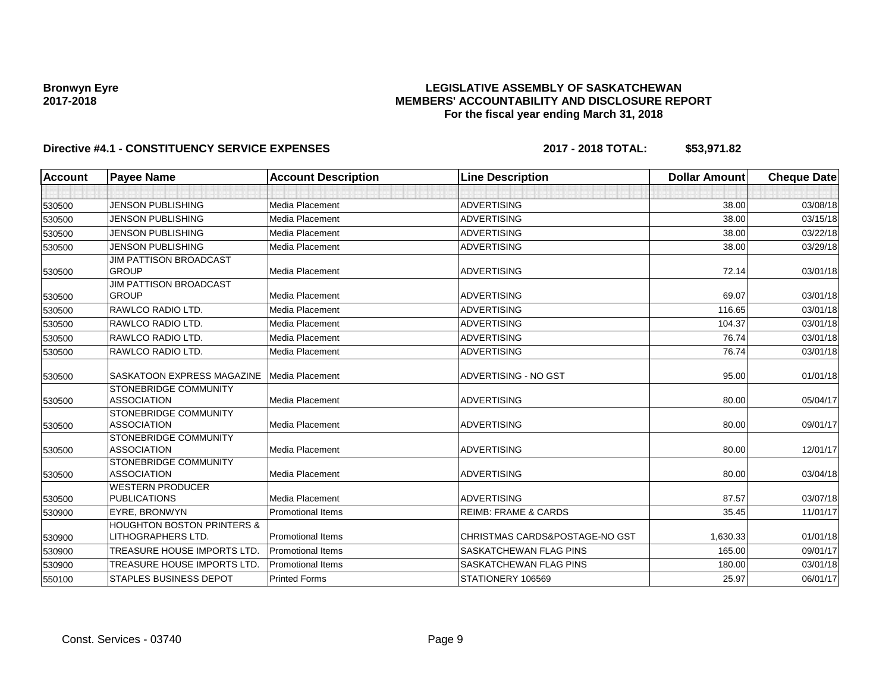### **LEGISLATIVE ASSEMBLY OF SASKATCHEWAN MEMBERS' ACCOUNTABILITY AND DISCLOSURE REPORT For the fiscal year ending March 31, 2018**

| Account | <b>Payee Name</b>                                  | <b>Account Description</b> | <b>Line Description</b>         | <b>Dollar Amount</b> | <b>Cheque Date</b> |
|---------|----------------------------------------------------|----------------------------|---------------------------------|----------------------|--------------------|
|         |                                                    |                            |                                 |                      |                    |
| 530500  | <b>JENSON PUBLISHING</b>                           | Media Placement            | <b>ADVERTISING</b>              | 38.00                | 03/08/18           |
| 530500  | <b>JENSON PUBLISHING</b>                           | Media Placement            | <b>ADVERTISING</b>              | 38.00                | 03/15/18           |
| 530500  | <b>JENSON PUBLISHING</b>                           | Media Placement            | <b>ADVERTISING</b>              | 38.00                | 03/22/18           |
| 530500  | <b>JENSON PUBLISHING</b>                           | Media Placement            | <b>ADVERTISING</b>              | 38.00                | 03/29/18           |
|         | <b>JIM PATTISON BROADCAST</b>                      |                            |                                 |                      |                    |
| 530500  | <b>GROUP</b>                                       | Media Placement            | <b>ADVERTISING</b>              | 72.14                | 03/01/18           |
|         | <b>JIM PATTISON BROADCAST</b>                      |                            |                                 |                      |                    |
| 530500  | <b>GROUP</b>                                       | Media Placement            | <b>ADVERTISING</b>              | 69.07                | 03/01/18           |
| 530500  | RAWLCO RADIO LTD.                                  | Media Placement            | <b>ADVERTISING</b>              | 116.65               | 03/01/18           |
| 530500  | RAWLCO RADIO LTD.                                  | Media Placement            | <b>ADVERTISING</b>              | 104.37               | 03/01/18           |
| 530500  | RAWLCO RADIO LTD.                                  | Media Placement            | <b>ADVERTISING</b>              | 76.74                | 03/01/18           |
| 530500  | RAWLCO RADIO LTD.                                  | Media Placement            | <b>ADVERTISING</b>              | 76.74                | 03/01/18           |
| 530500  | SASKATOON EXPRESS MAGAZINE                         | Media Placement            | ADVERTISING - NO GST            | 95.00                | 01/01/18           |
|         | <b>STONEBRIDGE COMMUNITY</b>                       |                            |                                 |                      |                    |
| 530500  | <b>ASSOCIATION</b>                                 | Media Placement            | <b>ADVERTISING</b>              | 80.00                | 05/04/17           |
|         | STONEBRIDGE COMMUNITY                              |                            |                                 |                      |                    |
| 530500  | <b>ASSOCIATION</b>                                 | Media Placement            | <b>ADVERTISING</b>              | 80.00                | 09/01/17           |
|         | <b>STONEBRIDGE COMMUNITY</b>                       |                            |                                 |                      |                    |
| 530500  | <b>ASSOCIATION</b>                                 | Media Placement            | <b>ADVERTISING</b>              | 80.00                | 12/01/17           |
|         | <b>STONEBRIDGE COMMUNITY</b><br><b>ASSOCIATION</b> | Media Placement            | <b>ADVERTISING</b>              | 80.00                | 03/04/18           |
| 530500  | <b>WESTERN PRODUCER</b>                            |                            |                                 |                      |                    |
| 530500  | <b>PUBLICATIONS</b>                                | Media Placement            | <b>ADVERTISING</b>              | 87.57                | 03/07/18           |
| 530900  | EYRE, BRONWYN                                      | <b>Promotional Items</b>   | <b>REIMB: FRAME &amp; CARDS</b> | 35.45                | 11/01/17           |
|         | <b>HOUGHTON BOSTON PRINTERS &amp;</b>              |                            |                                 |                      |                    |
| 530900  | LITHOGRAPHERS LTD.                                 | <b>Promotional Items</b>   | CHRISTMAS CARDS&POSTAGE-NO GST  | 1,630.33             | 01/01/18           |
| 530900  | <b>TREASURE HOUSE IMPORTS LTD.</b>                 | <b>Promotional Items</b>   | SASKATCHEWAN FLAG PINS          | 165.00               | 09/01/17           |
| 530900  | TREASURE HOUSE IMPORTS LTD                         | <b>Promotional Items</b>   | SASKATCHEWAN FLAG PINS          | 180.00               | 03/01/18           |
| 550100  | STAPLES BUSINESS DEPOT                             | <b>Printed Forms</b>       | STATIONERY 106569               | 25.97                | 06/01/17           |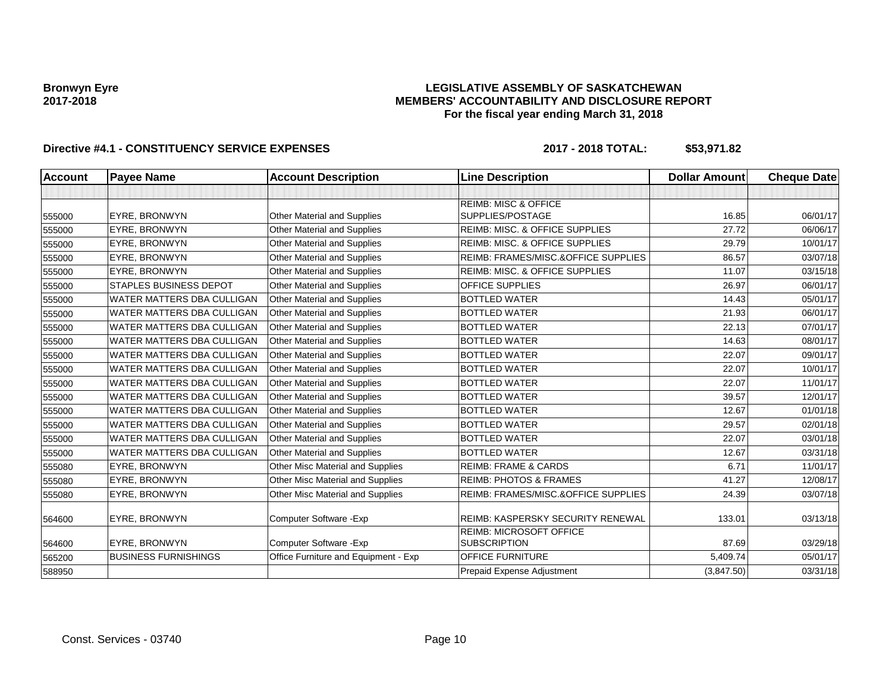### **LEGISLATIVE ASSEMBLY OF SASKATCHEWAN MEMBERS' ACCOUNTABILITY AND DISCLOSURE REPORT For the fiscal year ending March 31, 2018**

| <b>Account</b> | <b>Payee Name</b>                 | <b>Account Description</b>           | <b>Line Description</b>                   | <b>Dollar Amount</b> | <b>Cheque Date</b> |
|----------------|-----------------------------------|--------------------------------------|-------------------------------------------|----------------------|--------------------|
|                |                                   |                                      |                                           |                      |                    |
|                |                                   |                                      | <b>REIMB: MISC &amp; OFFICE</b>           |                      |                    |
| 555000         | <b>EYRE, BRONWYN</b>              | Other Material and Supplies          | SUPPLIES/POSTAGE                          | 16.85                | 06/01/17           |
| 555000         | EYRE, BRONWYN                     | Other Material and Supplies          | REIMB: MISC. & OFFICE SUPPLIES            | 27.72                | 06/06/17           |
| 555000         | <b>EYRE, BRONWYN</b>              | Other Material and Supplies          | <b>REIMB: MISC. &amp; OFFICE SUPPLIES</b> | 29.79                | 10/01/17           |
| 555000         | <b>EYRE, BRONWYN</b>              | Other Material and Supplies          | REIMB: FRAMES/MISC.&OFFICE SUPPLIES       | 86.57                | 03/07/18           |
| 555000         | <b>EYRE, BRONWYN</b>              | Other Material and Supplies          | REIMB: MISC. & OFFICE SUPPLIES            | 11.07                | 03/15/18           |
| 555000         | <b>STAPLES BUSINESS DEPOT</b>     | Other Material and Supplies          | <b>OFFICE SUPPLIES</b>                    | 26.97                | 06/01/17           |
| 555000         | <b>WATER MATTERS DBA CULLIGAN</b> | Other Material and Supplies          | <b>BOTTLED WATER</b>                      | 14.43                | 05/01/17           |
| 555000         | <b>WATER MATTERS DBA CULLIGAN</b> | Other Material and Supplies          | <b>BOTTLED WATER</b>                      | 21.93                | 06/01/17           |
| 555000         | <b>WATER MATTERS DBA CULLIGAN</b> | Other Material and Supplies          | <b>BOTTLED WATER</b>                      | 22.13                | 07/01/17           |
| 555000         | <b>WATER MATTERS DBA CULLIGAN</b> | Other Material and Supplies          | <b>BOTTLED WATER</b>                      | 14.63                | 08/01/17           |
| 555000         | <b>WATER MATTERS DBA CULLIGAN</b> | Other Material and Supplies          | <b>BOTTLED WATER</b>                      | 22.07                | 09/01/17           |
| 555000         | <b>WATER MATTERS DBA CULLIGAN</b> | Other Material and Supplies          | <b>BOTTLED WATER</b>                      | 22.07                | 10/01/17           |
| 555000         | <b>WATER MATTERS DBA CULLIGAN</b> | Other Material and Supplies          | <b>BOTTLED WATER</b>                      | 22.07                | 11/01/17           |
| 555000         | <b>WATER MATTERS DBA CULLIGAN</b> | Other Material and Supplies          | <b>BOTTLED WATER</b>                      | 39.57                | 12/01/17           |
| 555000         | <b>WATER MATTERS DBA CULLIGAN</b> | Other Material and Supplies          | <b>BOTTLED WATER</b>                      | 12.67                | 01/01/18           |
| 555000         | <b>WATER MATTERS DBA CULLIGAN</b> | Other Material and Supplies          | <b>BOTTLED WATER</b>                      | 29.57                | 02/01/18           |
| 555000         | <b>WATER MATTERS DBA CULLIGAN</b> | Other Material and Supplies          | <b>BOTTLED WATER</b>                      | 22.07                | 03/01/18           |
| 555000         | WATER MATTERS DBA CULLIGAN        | Other Material and Supplies          | <b>BOTTLED WATER</b>                      | 12.67                | 03/31/18           |
| 555080         | <b>EYRE, BRONWYN</b>              | Other Misc Material and Supplies     | <b>REIMB: FRAME &amp; CARDS</b>           | 6.71                 | 11/01/17           |
| 555080         | <b>EYRE, BRONWYN</b>              | Other Misc Material and Supplies     | <b>REIMB: PHOTOS &amp; FRAMES</b>         | 41.27                | 12/08/17           |
| 555080         | EYRE, BRONWYN                     | Other Misc Material and Supplies     | REIMB: FRAMES/MISC.&OFFICE SUPPLIES       | 24.39                | 03/07/18           |
|                |                                   |                                      |                                           |                      |                    |
| 564600         | EYRE, BRONWYN                     | Computer Software - Exp              | <b>REIMB: KASPERSKY SECURITY RENEWAL</b>  | 133.01               | 03/13/18           |
|                |                                   |                                      | <b>REIMB: MICROSOFT OFFICE</b>            |                      |                    |
| 564600         | EYRE, BRONWYN                     | Computer Software - Exp              | <b>SUBSCRIPTION</b>                       | 87.69                | 03/29/18           |
| 565200         | <b>BUSINESS FURNISHINGS</b>       | Office Furniture and Equipment - Exp | <b>OFFICE FURNITURE</b>                   | 5,409.74             | 05/01/17           |
| 588950         |                                   |                                      | Prepaid Expense Adjustment                | (3,847.50)           | 03/31/18           |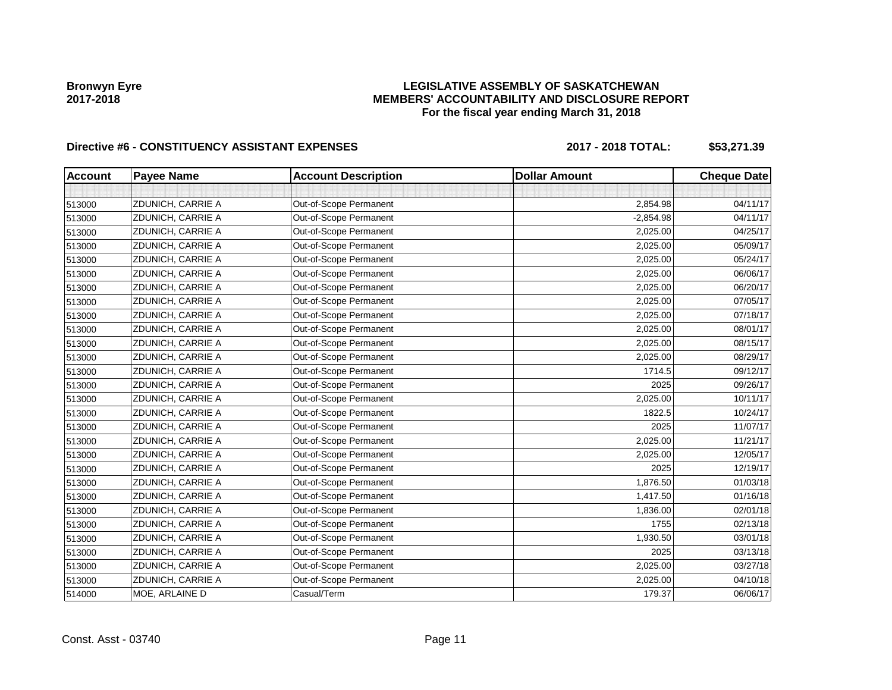### **LEGISLATIVE ASSEMBLY OF SASKATCHEWAN MEMBERS' ACCOUNTABILITY AND DISCLOSURE REPORT For the fiscal year ending March 31, 2018**

# Directive #6 - CONSTITUENCY ASSISTANT EXPENSES 2017 - 2018 TOTAL: \$53,271.39

| <b>Account</b> | <b>Payee Name</b> | <b>Account Description</b> | <b>Dollar Amount</b> | <b>Cheque Date</b> |
|----------------|-------------------|----------------------------|----------------------|--------------------|
|                |                   |                            |                      |                    |
| 513000         | ZDUNICH, CARRIE A | Out-of-Scope Permanent     | 2,854.98             | 04/11/17           |
| 513000         | ZDUNICH, CARRIE A | Out-of-Scope Permanent     | $-2,854.98$          | 04/11/17           |
| 513000         | ZDUNICH, CARRIE A | Out-of-Scope Permanent     | 2,025.00             | 04/25/17           |
| 513000         | ZDUNICH, CARRIE A | Out-of-Scope Permanent     | 2,025.00             | 05/09/17           |
| 513000         | ZDUNICH, CARRIE A | Out-of-Scope Permanent     | 2,025.00             | 05/24/17           |
| 513000         | ZDUNICH, CARRIE A | Out-of-Scope Permanent     | 2,025.00             | 06/06/17           |
| 513000         | ZDUNICH, CARRIE A | Out-of-Scope Permanent     | 2,025.00             | 06/20/17           |
| 513000         | ZDUNICH, CARRIE A | Out-of-Scope Permanent     | 2,025.00             | 07/05/17           |
| 513000         | ZDUNICH, CARRIE A | Out-of-Scope Permanent     | 2,025.00             | 07/18/17           |
| 513000         | ZDUNICH, CARRIE A | Out-of-Scope Permanent     | 2,025.00             | 08/01/17           |
| 513000         | ZDUNICH, CARRIE A | Out-of-Scope Permanent     | 2,025.00             | 08/15/17           |
| 513000         | ZDUNICH, CARRIE A | Out-of-Scope Permanent     | 2,025.00             | 08/29/17           |
| 513000         | ZDUNICH, CARRIE A | Out-of-Scope Permanent     | 1714.5               | 09/12/17           |
| 513000         | ZDUNICH, CARRIE A | Out-of-Scope Permanent     | 2025                 | 09/26/17           |
| 513000         | ZDUNICH, CARRIE A | Out-of-Scope Permanent     | 2,025.00             | 10/11/17           |
| 513000         | ZDUNICH, CARRIE A | Out-of-Scope Permanent     | 1822.5               | 10/24/17           |
| 513000         | ZDUNICH, CARRIE A | Out-of-Scope Permanent     | 2025                 | 11/07/17           |
| 513000         | ZDUNICH, CARRIE A | Out-of-Scope Permanent     | 2,025.00             | 11/21/17           |
| 513000         | ZDUNICH, CARRIE A | Out-of-Scope Permanent     | 2,025.00             | 12/05/17           |
| 513000         | ZDUNICH, CARRIE A | Out-of-Scope Permanent     | 2025                 | 12/19/17           |
| 513000         | ZDUNICH, CARRIE A | Out-of-Scope Permanent     | 1,876.50             | 01/03/18           |
| 513000         | ZDUNICH, CARRIE A | Out-of-Scope Permanent     | 1,417.50             | 01/16/18           |
| 513000         | ZDUNICH, CARRIE A | Out-of-Scope Permanent     | 1,836.00             | 02/01/18           |
| 513000         | ZDUNICH, CARRIE A | Out-of-Scope Permanent     | 1755                 | 02/13/18           |
| 513000         | ZDUNICH, CARRIE A | Out-of-Scope Permanent     | 1,930.50             | 03/01/18           |
| 513000         | ZDUNICH, CARRIE A | Out-of-Scope Permanent     | 2025                 | 03/13/18           |
| 513000         | ZDUNICH, CARRIE A | Out-of-Scope Permanent     | 2,025.00             | 03/27/18           |
| 513000         | ZDUNICH, CARRIE A | Out-of-Scope Permanent     | 2,025.00             | 04/10/18           |
| 514000         | MOE, ARLAINE D    | Casual/Term                | 179.37               | 06/06/17           |